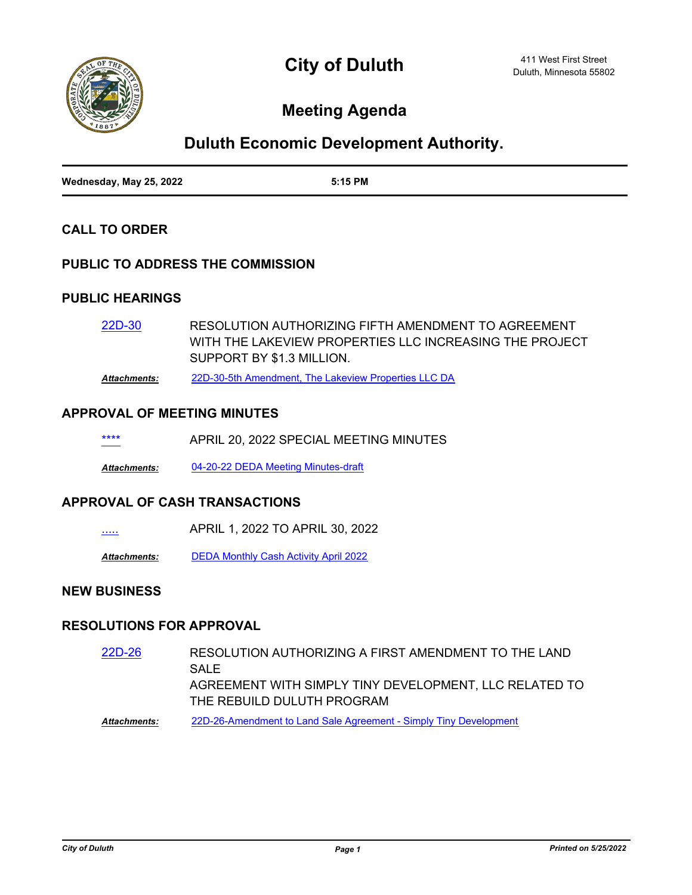

**City of Duluth**

# **Meeting Agenda**

## **Duluth Economic Development Authority.**

| Wednesday, May 25, 2022 | 5:15 PM |
|-------------------------|---------|

## **CALL TO ORDER**

### **PUBLIC TO ADDRESS THE COMMISSION**

### **PUBLIC HEARINGS**

RESOLUTION AUTHORIZING FIFTH AMENDMENT TO AGREEMENT WITH THE LAKEVIEW PROPERTIES LLC INCREASING THE PROJECT SUPPORT BY \$1.3 MILLION. [22D-30](http://duluth-mn.legistar.com/gateway.aspx?m=l&id=/matter.aspx?key=8234)

*Attachments:* [22D-30-5th Amendment, The Lakeview Properties LLC DA](http://duluth-mn.legistar.com/gateway.aspx?M=F&ID=c5499ea7-f2e0-40ca-aea7-dc3e9670dc8e.pdf)

#### **APPROVAL OF MEETING MINUTES**

| **** | APRIL 20, 2022 SPECIAL MEETING MINUTES |  |  |
|------|----------------------------------------|--|--|
|      |                                        |  |  |

*Attachments:* [04-20-22 DEDA Meeting Minutes-draft](http://duluth-mn.legistar.com/gateway.aspx?M=F&ID=8c5bf294-a60c-4133-b79c-3605402e7258.pdf)

#### **APPROVAL OF CASH TRANSACTIONS**

[.....](http://duluth-mn.legistar.com/gateway.aspx?m=l&id=/matter.aspx?key=8236) APRIL 1, 2022 TO APRIL 30, 2022

*Attachments:* [DEDA Monthly Cash Activity April 2022](http://duluth-mn.legistar.com/gateway.aspx?M=F&ID=2054ffca-a5c7-4d10-8c75-b1ce531ebd43.pdf)

## **NEW BUSINESS**

#### **RESOLUTIONS FOR APPROVAL**

- RESOLUTION AUTHORIZING A FIRST AMENDMENT TO THE LAND SAL<sub>E</sub> AGREEMENT WITH SIMPLY TINY DEVELOPMENT, LLC RELATED TO THE REBUILD DULUTH PROGRAM [22D-26](http://duluth-mn.legistar.com/gateway.aspx?m=l&id=/matter.aspx?key=8228)
- *Attachments:* [22D-26-Amendment to Land Sale Agreement Simply Tiny Development](http://duluth-mn.legistar.com/gateway.aspx?M=F&ID=317c6fd3-adba-48f8-a367-3ce509c0207a.pdf)